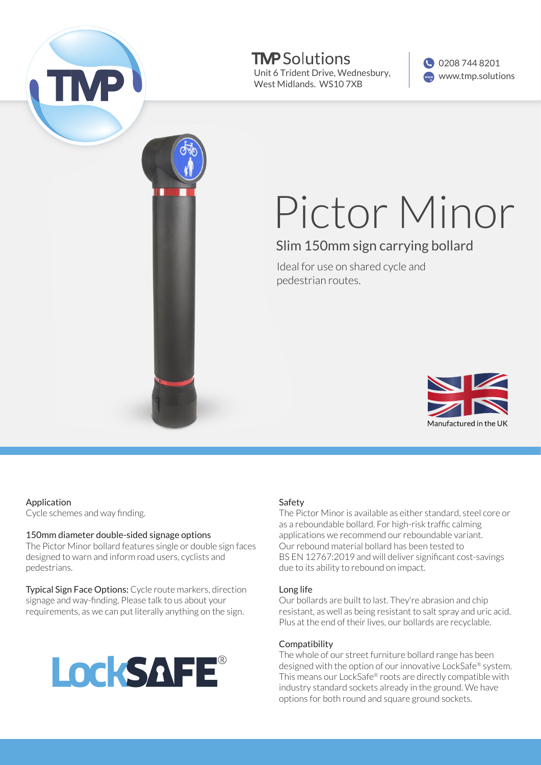

**TMP** Solutions

Unit 6 Trident Drive, Wednesbury, West Midlands. WS10 7XB

0208 744 8201 www.tmp.solutions

# Pictor Minor

### Slim 150mm sign carrying bollard

Ideal for use on shared cycle and pedestrian routes.



#### Application

Cycle schemes and way finding.

#### 150mm diameter double-sided signage options

The Pictor Minor bollard features single or double sign faces designed to warn and inform road users, cyclists and pedestrians.

Typical Sign Face Options: Cycle route markers, direction signage and way-finding. Please talk to us about your requirements, as we can put literally anything on the sign.

## **LockSAFE®**

#### Safety

The Pictor Minor is available as either standard, steel core or as a reboundable bollard. For high-risk traffic calming applications we recommend our reboundable variant. Our rebound material bollard has been tested to BS EN 12767:2019 and will deliver significant cost-savings due to its ability to rebound on impact.

#### Long life

Our bollards are built to last. They're abrasion and chip resistant, as well as being resistant to salt spray and uric acid. Plus at the end of their lives, our bollards are recyclable.

#### Compatibility

The whole of our street furniture bollard range has been designed with the option of our innovative LockSafe® system. This means our LockSafe® roots are directly compatible with industry standard sockets already in the ground. We have options for both round and square ground sockets.